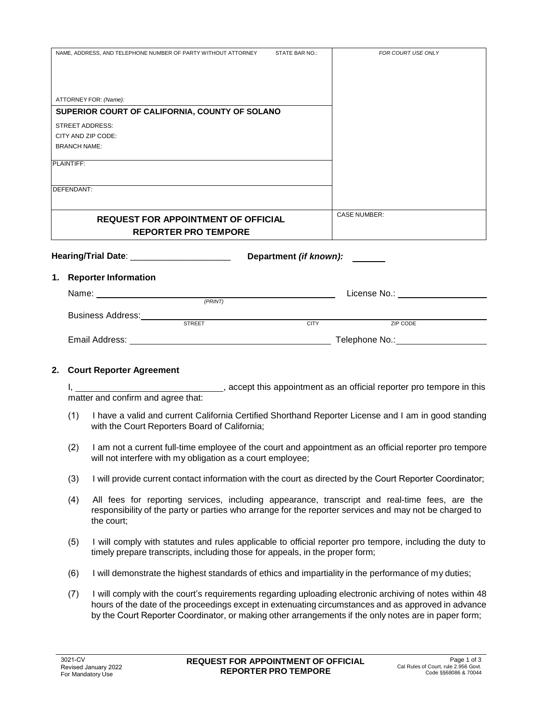| NAME. ADDRESS, AND TELEPHONE NUMBER OF PARTY WITHOUT ATTORNEY | STATE BAR NO.:         | FOR COURT USE ONLY                       |
|---------------------------------------------------------------|------------------------|------------------------------------------|
|                                                               |                        |                                          |
|                                                               |                        |                                          |
|                                                               |                        |                                          |
|                                                               |                        |                                          |
| ATTORNEY FOR: (Name):                                         |                        |                                          |
| SUPERIOR COURT OF CALIFORNIA, COUNTY OF SOLANO                |                        |                                          |
| <b>STREET ADDRESS:</b>                                        |                        |                                          |
| CITY AND ZIP CODE:                                            |                        |                                          |
| <b>BRANCH NAME:</b>                                           |                        |                                          |
|                                                               |                        |                                          |
| PLAINTIFF:                                                    |                        |                                          |
|                                                               |                        |                                          |
| DEFENDANT:                                                    |                        |                                          |
|                                                               |                        |                                          |
|                                                               |                        |                                          |
| <b>REQUEST FOR APPOINTMENT OF OFFICIAL</b>                    |                        | <b>CASE NUMBER:</b>                      |
| <b>REPORTER PRO TEMPORE</b>                                   |                        |                                          |
|                                                               |                        |                                          |
|                                                               |                        |                                          |
|                                                               |                        |                                          |
| Hearing/Trial Date: _________________________                 | Department (if known): |                                          |
|                                                               |                        |                                          |
| 1. Reporter Information                                       |                        |                                          |
|                                                               |                        | License No.: <u>____________________</u> |
| Name: $\frac{(PRINT)}{PRINT}$                                 |                        |                                          |
|                                                               |                        |                                          |
| Business Address:<br>STREET                                   | <b>CITY</b>            | <b>ZIP CODE</b>                          |
|                                                               |                        |                                          |
|                                                               |                        | Telephone No.: No.:                      |

## **2. Court Reporter Agreement**

I, the same of this appointment as an official reporter pro tempore in this matter and confirm and agree that:

- (1) I have a valid and current California Certified Shorthand Reporter License and I am in good standing with the Court Reporters Board of California;
- (2) I am not a current full-time employee of the court and appointment as an official reporter pro tempore will not interfere with my obligation as a court employee;
- (3) I will provide current contact information with the court as directed by the Court Reporter Coordinator;
- (4) All fees for reporting services, including appearance, transcript and real-time fees, are the responsibility of the party or parties who arrange for the reporter services and may not be charged to the court;
- (5) I will comply with statutes and rules applicable to official reporter pro tempore, including the duty to timely prepare transcripts, including those for appeals, in the proper form;
- (6) I will demonstrate the highest standards of ethics and impartiality in the performance of my duties;
- (7) I will comply with the court's requirements regarding uploading electronic archiving of notes within 48 hours of the date of the proceedings except in extenuating circumstances and as approved in advance by the Court Reporter Coordinator, or making other arrangements if the only notes are in paper form;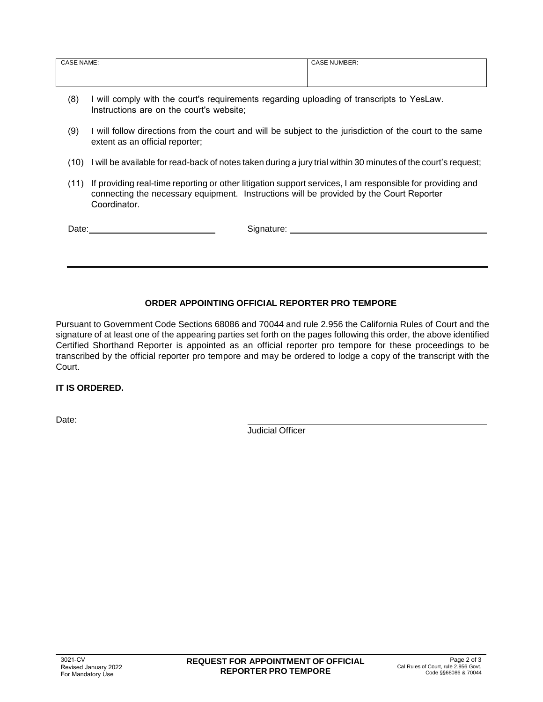| <b>CASE NAME:</b> | <b>CASE NUMBER:</b> |
|-------------------|---------------------|
|                   |                     |
|                   |                     |

- (8) I will comply with the court's requirements regarding uploading of transcripts to YesLaw. Instructions are on the court's website;
- (9) I will follow directions from the court and will be subject to the jurisdiction of the court to the same extent as an official reporter;
- (10) I will be available for read-back of notes taken during a jury trial within 30 minutes of the court's request;
- (11) If providing real-time reporting or other litigation support services, I am responsible for providing and connecting the necessary equipment. Instructions will be provided by the Court Reporter Coordinator.

| Date: | Signature: |
|-------|------------|
|       |            |
|       |            |
|       |            |

## **ORDER APPOINTING OFFICIAL REPORTER PRO TEMPORE**

Pursuant to Government Code Sections 68086 and 70044 and rule 2.956 the California Rules of Court and the signature of at least one of the appearing parties set forth on the pages following this order, the above identified Certified Shorthand Reporter is appointed as an official reporter pro tempore for these proceedings to be transcribed by the official reporter pro tempore and may be ordered to lodge a copy of the transcript with the Court.

## **IT IS ORDERED.**

Date:

Judicial Officer